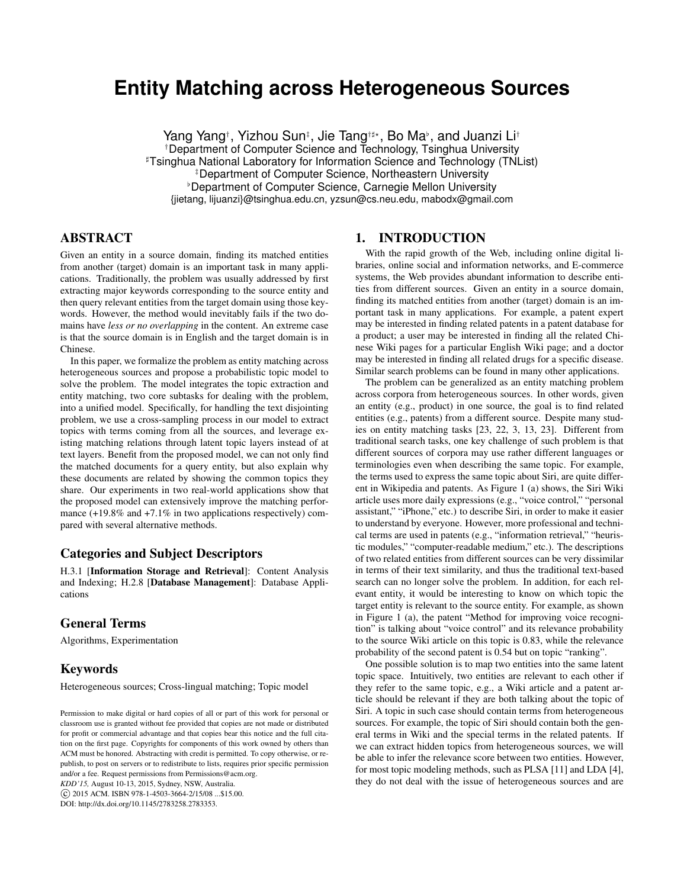# **Entity Matching across Heterogeneous Sources**

Yang Yang†, Yizhou Sun‡, Jie Tang†‡\*, Bo Ma<sup>,</sup>, and Juanzi Li† †Department of Computer Science and Technology, Tsinghua University ]Tsinghua National Laboratory for Information Science and Technology (TNList) ‡Department of Computer Science, Northeastern University <sup>b</sup> Department of Computer Science, Carnegie Mellon University {jietang, lijuanzi}@tsinghua.edu.cn, yzsun@cs.neu.edu, mabodx@gmail.com

# ABSTRACT

Given an entity in a source domain, finding its matched entities from another (target) domain is an important task in many applications. Traditionally, the problem was usually addressed by first extracting major keywords corresponding to the source entity and then query relevant entities from the target domain using those keywords. However, the method would inevitably fails if the two domains have *less or no overlapping* in the content. An extreme case is that the source domain is in English and the target domain is in Chinese.

In this paper, we formalize the problem as entity matching across heterogeneous sources and propose a probabilistic topic model to solve the problem. The model integrates the topic extraction and entity matching, two core subtasks for dealing with the problem, into a unified model. Specifically, for handling the text disjointing problem, we use a cross-sampling process in our model to extract topics with terms coming from all the sources, and leverage existing matching relations through latent topic layers instead of at text layers. Benefit from the proposed model, we can not only find the matched documents for a query entity, but also explain why these documents are related by showing the common topics they share. Our experiments in two real-world applications show that the proposed model can extensively improve the matching performance  $(+19.8\%$  and  $+7.1\%$  in two applications respectively) compared with several alternative methods.

# Categories and Subject Descriptors

H.3.1 [Information Storage and Retrieval]: Content Analysis and Indexing; H.2.8 [Database Management]: Database Applications

# General Terms

Algorithms, Experimentation

## Keywords

Heterogeneous sources; Cross-lingual matching; Topic model

*KDD'15,* August 10-13, 2015, Sydney, NSW, Australia.

c 2015 ACM. ISBN 978-1-4503-3664-2/15/08 ...\$15.00.

DOI: http://dx.doi.org/10.1145/2783258.2783353.

## 1. INTRODUCTION

With the rapid growth of the Web, including online digital libraries, online social and information networks, and E-commerce systems, the Web provides abundant information to describe entities from different sources. Given an entity in a source domain, finding its matched entities from another (target) domain is an important task in many applications. For example, a patent expert may be interested in finding related patents in a patent database for a product; a user may be interested in finding all the related Chinese Wiki pages for a particular English Wiki page; and a doctor may be interested in finding all related drugs for a specific disease. Similar search problems can be found in many other applications.

The problem can be generalized as an entity matching problem across corpora from heterogeneous sources. In other words, given an entity (e.g., product) in one source, the goal is to find related entities (e.g., patents) from a different source. Despite many studies on entity matching tasks [23, 22, 3, 13, 23]. Different from traditional search tasks, one key challenge of such problem is that different sources of corpora may use rather different languages or terminologies even when describing the same topic. For example, the terms used to express the same topic about Siri, are quite different in Wikipedia and patents. As Figure 1 (a) shows, the Siri Wiki article uses more daily expressions (e.g., "voice control," "personal assistant," "iPhone," etc.) to describe Siri, in order to make it easier to understand by everyone. However, more professional and technical terms are used in patents (e.g., "information retrieval," "heuristic modules," "computer-readable medium," etc.). The descriptions of two related entities from different sources can be very dissimilar in terms of their text similarity, and thus the traditional text-based search can no longer solve the problem. In addition, for each relevant entity, it would be interesting to know on which topic the target entity is relevant to the source entity. For example, as shown in Figure 1 (a), the patent "Method for improving voice recognition" is talking about "voice control" and its relevance probability to the source Wiki article on this topic is 0.83, while the relevance probability of the second patent is 0.54 but on topic "ranking".

One possible solution is to map two entities into the same latent topic space. Intuitively, two entities are relevant to each other if they refer to the same topic, e.g., a Wiki article and a patent article should be relevant if they are both talking about the topic of Siri. A topic in such case should contain terms from heterogeneous sources. For example, the topic of Siri should contain both the general terms in Wiki and the special terms in the related patents. If we can extract hidden topics from heterogeneous sources, we will be able to infer the relevance score between two entities. However, for most topic modeling methods, such as PLSA [11] and LDA [4], they do not deal with the issue of heterogeneous sources and are

Permission to make digital or hard copies of all or part of this work for personal or classroom use is granted without fee provided that copies are not made or distributed for profit or commercial advantage and that copies bear this notice and the full citation on the first page. Copyrights for components of this work owned by others than ACM must be honored. Abstracting with credit is permitted. To copy otherwise, or republish, to post on servers or to redistribute to lists, requires prior specific permission and/or a fee. Request permissions from Permissions@acm.org.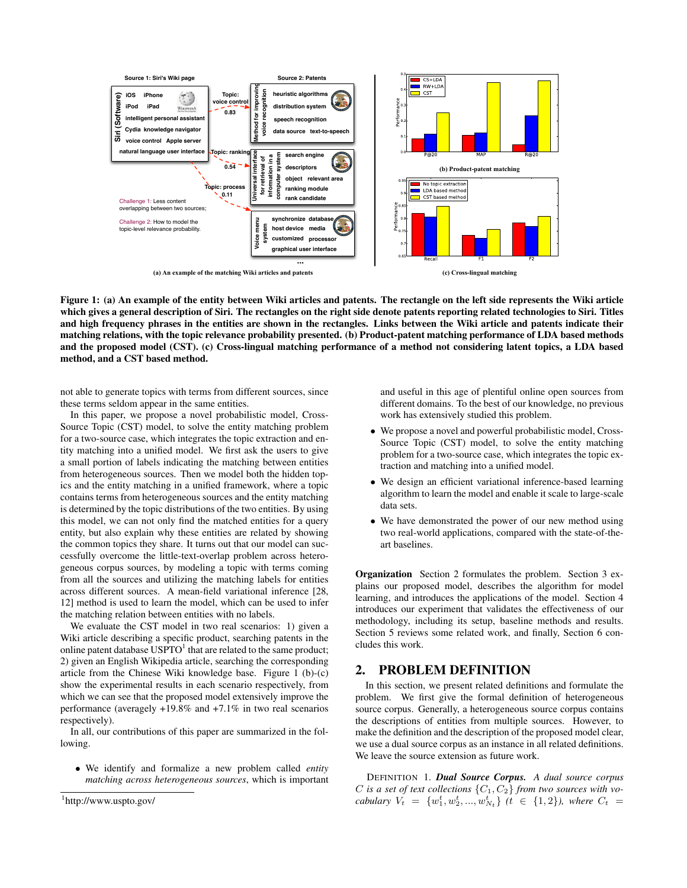

Figure 1: (a) An example of the entity between Wiki articles and patents. The rectangle on the left side represents the Wiki article which gives a general description of Siri. The rectangles on the right side denote patents reporting related technologies to Siri. Titles and high frequency phrases in the entities are shown in the rectangles. Links between the Wiki article and patents indicate their matching relations, with the topic relevance probability presented. (b) Product-patent matching performance of LDA based methods and the proposed model (CST). (c) Cross-lingual matching performance of a method not considering latent topics, a LDA based method, and a CST based method.

not able to generate topics with terms from different sources, since these terms seldom appear in the same entities.

In this paper, we propose a novel probabilistic model, Cross-Source Topic (CST) model, to solve the entity matching problem for a two-source case, which integrates the topic extraction and entity matching into a unified model. We first ask the users to give a small portion of labels indicating the matching between entities from heterogeneous sources. Then we model both the hidden topics and the entity matching in a unified framework, where a topic contains terms from heterogeneous sources and the entity matching is determined by the topic distributions of the two entities. By using this model, we can not only find the matched entities for a query entity, but also explain why these entities are related by showing the common topics they share. It turns out that our model can successfully overcome the little-text-overlap problem across heterogeneous corpus sources, by modeling a topic with terms coming from all the sources and utilizing the matching labels for entities across different sources. A mean-field variational inference [28, 12] method is used to learn the model, which can be used to infer the matching relation between entities with no labels.

We evaluate the CST model in two real scenarios: 1) given a Wiki article describing a specific product, searching patents in the online patent database  $\mathrm{USPTO}^1$  that are related to the same product; 2) given an English Wikipedia article, searching the corresponding article from the Chinese Wiki knowledge base. Figure 1 (b)-(c) show the experimental results in each scenario respectively, from which we can see that the proposed model extensively improve the performance (averagely +19.8% and +7.1% in two real scenarios respectively).

In all, our contributions of this paper are summarized in the following.

• We identify and formalize a new problem called *entity matching across heterogeneous sources*, which is important and useful in this age of plentiful online open sources from different domains. To the best of our knowledge, no previous work has extensively studied this problem.

- We propose a novel and powerful probabilistic model, Cross-Source Topic (CST) model, to solve the entity matching problem for a two-source case, which integrates the topic extraction and matching into a unified model.
- We design an efficient variational inference-based learning algorithm to learn the model and enable it scale to large-scale data sets.
- We have demonstrated the power of our new method using two real-world applications, compared with the state-of-theart baselines.

Organization Section 2 formulates the problem. Section 3 explains our proposed model, describes the algorithm for model learning, and introduces the applications of the model. Section 4 introduces our experiment that validates the effectiveness of our methodology, including its setup, baseline methods and results. Section 5 reviews some related work, and finally, Section 6 concludes this work.

## 2. PROBLEM DEFINITION

In this section, we present related definitions and formulate the problem. We first give the formal definition of heterogeneous source corpus. Generally, a heterogeneous source corpus contains the descriptions of entities from multiple sources. However, to make the definition and the description of the proposed model clear, we use a dual source corpus as an instance in all related definitions. We leave the source extension as future work.

DEFINITION 1. *Dual Source Corpus. A dual source corpus* C is a set of text collections  $\{C_1, C_2\}$  from two sources with vo*cabulary*  $V_t = \{w_1^t, w_2^t, ..., w_{N_t}^t\}$   $(t \in \{1, 2\})$ , where  $C_t =$ 

<sup>1</sup> http://www.uspto.gov/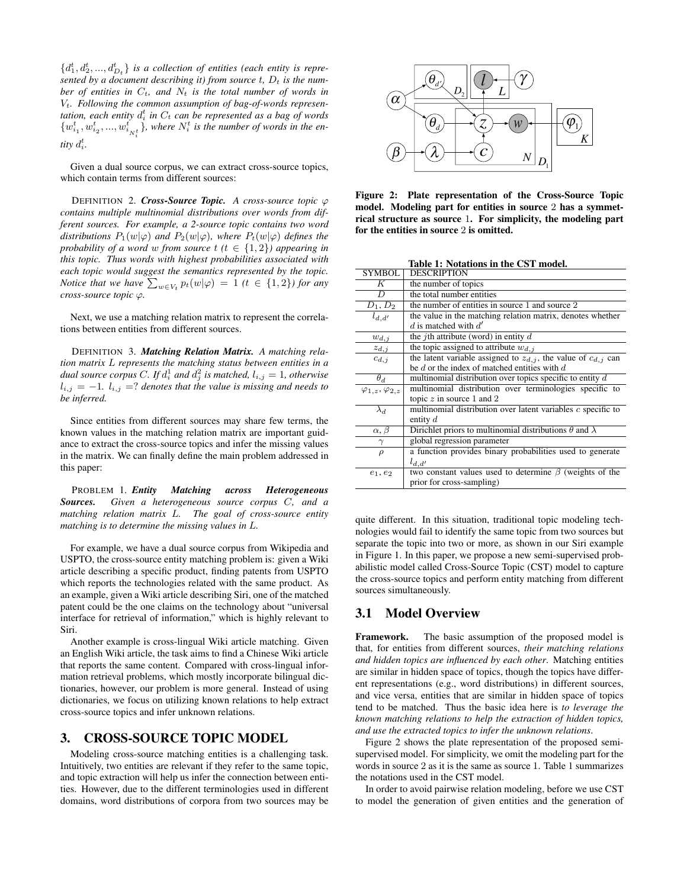${d_1^t, d_2^t, ..., d_{D_t}^t}$  *is a collection of entities (each entity is repre*sented by a document describing it) from source  $t$ ,  $D_t$  is the num*ber of entities in*  $C_t$ *, and*  $N_t$  *is the total number of words in* Vt*. Following the common assumption of bag-of-words represen*tation, each entity  $d_i^t$  in  $C_t$  can be represented as a bag of words  $\{w_{i_1}^t, w_{i_2}^t, ..., w_{i_{N_t^t}}^t\}$ , where  $N_i^t$  is the number of words in the en*tity*  $d_i^t$ .

Given a dual source corpus, we can extract cross-source topics, which contain terms from different sources:

**DEFINITION 2. Cross-Source Topic.** A cross-source topic  $\varphi$ *contains multiple multinomial distributions over words from different sources. For example, a 2-source topic contains two word distributions*  $P_1(w|\varphi)$  *and*  $P_2(w|\varphi)$ *, where*  $P_t(w|\varphi)$  *defines the probability of a word w from source*  $t$  ( $t \in \{1,2\}$ ) appearing in *this topic. Thus words with highest probabilities associated with each topic would suggest the semantics represented by the topic. Notice that we have*  $\sum_{w \in V_t} p_t(w|\varphi) = 1$  ( $t \in \{1,2\}$ ) for any *cross-source topic* ϕ*.*

Next, we use a matching relation matrix to represent the correlations between entities from different sources.

DEFINITION 3. *Matching Relation Matrix. A matching relation matrix* L *represents the matching status between entities in a* dual source corpus C. If  $d_i^1$  and  $d_j^2$  is matched,  $l_{i,j} = 1$ , otherwise  $l_{i,j} = -1$ *.*  $l_{i,j} = ?$  *denotes that the value is missing and needs to be inferred.*

Since entities from different sources may share few terms, the known values in the matching relation matrix are important guidance to extract the cross-source topics and infer the missing values in the matrix. We can finally define the main problem addressed in this paper:

PROBLEM 1. *Entity Matching across Heterogeneous Sources. Given a heterogeneous source corpus* C*, and a matching relation matrix* L*. The goal of cross-source entity matching is to determine the missing values in* L*.*

For example, we have a dual source corpus from Wikipedia and USPTO, the cross-source entity matching problem is: given a Wiki article describing a specific product, finding patents from USPTO which reports the technologies related with the same product. As an example, given a Wiki article describing Siri, one of the matched patent could be the one claims on the technology about "universal interface for retrieval of information," which is highly relevant to Siri.

Another example is cross-lingual Wiki article matching. Given an English Wiki article, the task aims to find a Chinese Wiki article that reports the same content. Compared with cross-lingual information retrieval problems, which mostly incorporate bilingual dictionaries, however, our problem is more general. Instead of using dictionaries, we focus on utilizing known relations to help extract cross-source topics and infer unknown relations.

#### 3. CROSS-SOURCE TOPIC MODEL

Modeling cross-source matching entities is a challenging task. Intuitively, two entities are relevant if they refer to the same topic, and topic extraction will help us infer the connection between entities. However, due to the different terminologies used in different domains, word distributions of corpora from two sources may be



Figure 2: Plate representation of the Cross-Source Topic model. Modeling part for entities in source 2 has a symmetrical structure as source 1. For simplicity, the modeling part for the entities in source 2 is omitted.

Table 1: Notations in the CST model.

|                                | rable 1. Protations in the CST model.                                  |
|--------------------------------|------------------------------------------------------------------------|
| SYMBOL                         | DESCRIPTION                                                            |
| K                              | the number of topics                                                   |
| D                              | the total number entities                                              |
| $D_1, D_2$                     | the number of entities in source 1 and source 2                        |
| $l_{d,d'}$                     | the value in the matching relation matrix, denotes whether             |
|                                | d is matched with $d'$                                                 |
| $w_{d,j}$                      | the <i>j</i> th attribute (word) in entity $d$                         |
| $z_{d,j}$                      | the topic assigned to attribute $w_{d,i}$                              |
| $c_{d,i}$                      | the latent variable assigned to $z_{d,i}$ , the value of $c_{d,i}$ can |
|                                | be d or the index of matched entities with $d$                         |
| $\theta_d$                     | multinomial distribution over topics specific to entity $d$            |
| $\varphi_{1,z}, \varphi_{2,z}$ | multinomial distribution over terminologies specific to                |
|                                | topic $z$ in source 1 and 2                                            |
| $\lambda_d$                    | multinomial distribution over latent variables $c$ specific to         |
|                                | entity $d$                                                             |
| $\alpha, \beta$                | Dirichlet priors to multinomial distributions $\theta$ and $\lambda$   |
| $\gamma$                       | global regression parameter                                            |
| $\rho$                         | a function provides binary probabilities used to generate              |
|                                | $l_{d,d'}$                                                             |
| $e_1, e_2$                     | two constant values used to determine $\beta$ (weights of the          |
|                                | prior for cross-sampling)                                              |
|                                |                                                                        |

quite different. In this situation, traditional topic modeling technologies would fail to identify the same topic from two sources but separate the topic into two or more, as shown in our Siri example in Figure 1. In this paper, we propose a new semi-supervised probabilistic model called Cross-Source Topic (CST) model to capture the cross-source topics and perform entity matching from different sources simultaneously.

## 3.1 Model Overview

Framework. The basic assumption of the proposed model is that, for entities from different sources, *their matching relations and hidden topics are influenced by each other*. Matching entities are similar in hidden space of topics, though the topics have different representations (e.g., word distributions) in different sources, and vice versa, entities that are similar in hidden space of topics tend to be matched. Thus the basic idea here is *to leverage the known matching relations to help the extraction of hidden topics, and use the extracted topics to infer the unknown relations*.

Figure 2 shows the plate representation of the proposed semisupervised model. For simplicity, we omit the modeling part for the words in source 2 as it is the same as source 1. Table 1 summarizes the notations used in the CST model.

In order to avoid pairwise relation modeling, before we use CST to model the generation of given entities and the generation of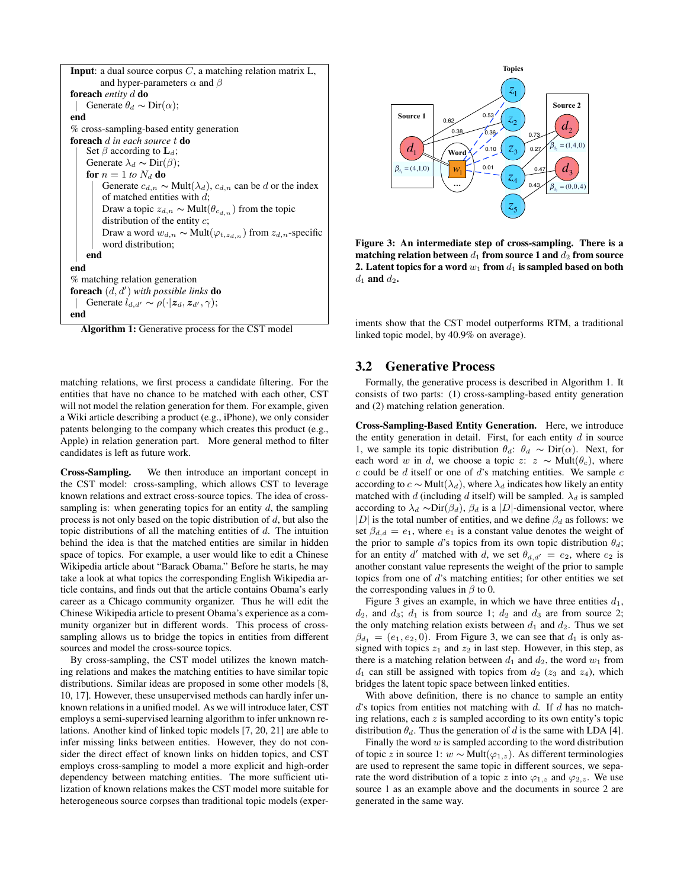| <b>Input</b> : a dual source corpus $C$ , a matching relation matrix L,              |
|--------------------------------------------------------------------------------------|
| and hyper-parameters $\alpha$ and $\beta$                                            |
| <b>foreach</b> entity d <b>do</b>                                                    |
| Generate $\theta_d \sim \text{Dir}(\alpha)$ ;                                        |
| end                                                                                  |
| % cross-sampling-based entity generation                                             |
| <b>foreach</b> d in each source t <b>do</b>                                          |
| Set $\beta$ according to ${\bf L}_d$ ;                                               |
| Generate $\lambda_d \sim \text{Dir}(\beta)$ ;                                        |
| for $n = 1$ to $N_d$ do                                                              |
| Generate $c_{d,n} \sim \text{Mult}(\lambda_d)$ , $c_{d,n}$ can be d or the index     |
| of matched entities with $d$ ;                                                       |
| Draw a topic $z_{d,n} \sim \text{Mult}(\theta_{c_{d,n}})$ from the topic             |
| distribution of the entity $c$ ;                                                     |
| Draw a word $w_{d,n} \sim \text{Mult}(\varphi_{t,z_{d,n}})$ from $z_{d,n}$ -specific |
| word distribution;                                                                   |
| end                                                                                  |
| end                                                                                  |
| % matching relation generation                                                       |
| <b>foreach</b> $(d, d')$ with possible links <b>do</b>                               |
| Generate $l_{d,d'} \sim \rho(\cdot   z_d, z_{d'}, \gamma);$                          |
| end                                                                                  |

Algorithm 1: Generative process for the CST model

matching relations, we first process a candidate filtering. For the entities that have no chance to be matched with each other, CST will not model the relation generation for them. For example, given a Wiki article describing a product (e.g., iPhone), we only consider patents belonging to the company which creates this product (e.g., Apple) in relation generation part. More general method to filter candidates is left as future work.

Cross-Sampling. We then introduce an important concept in the CST model: cross-sampling, which allows CST to leverage known relations and extract cross-source topics. The idea of crosssampling is: when generating topics for an entity  $d$ , the sampling process is not only based on the topic distribution of  $d$ , but also the topic distributions of all the matching entities of  $d$ . The intuition behind the idea is that the matched entities are similar in hidden space of topics. For example, a user would like to edit a Chinese Wikipedia article about "Barack Obama." Before he starts, he may take a look at what topics the corresponding English Wikipedia article contains, and finds out that the article contains Obama's early career as a Chicago community organizer. Thus he will edit the Chinese Wikipedia article to present Obama's experience as a community organizer but in different words. This process of crosssampling allows us to bridge the topics in entities from different sources and model the cross-source topics.

By cross-sampling, the CST model utilizes the known matching relations and makes the matching entities to have similar topic distributions. Similar ideas are proposed in some other models [8, 10, 17]. However, these unsupervised methods can hardly infer unknown relations in a unified model. As we will introduce later, CST employs a semi-supervised learning algorithm to infer unknown relations. Another kind of linked topic models [7, 20, 21] are able to infer missing links between entities. However, they do not consider the direct effect of known links on hidden topics, and CST employs cross-sampling to model a more explicit and high-order dependency between matching entities. The more sufficient utilization of known relations makes the CST model more suitable for heterogeneous source corpses than traditional topic models (exper-



Figure 3: An intermediate step of cross-sampling. There is a matching relation between  $d_1$  from source 1 and  $d_2$  from source 2. Latent topics for a word  $w_1$  from  $d_1$  is sampled based on both  $d_1$  and  $d_2$ .

iments show that the CST model outperforms RTM, a traditional linked topic model, by 40.9% on average).

# 3.2 Generative Process

Formally, the generative process is described in Algorithm 1. It consists of two parts: (1) cross-sampling-based entity generation and (2) matching relation generation.

Cross-Sampling-Based Entity Generation. Here, we introduce the entity generation in detail. First, for each entity  $d$  in source 1, we sample its topic distribution  $\theta_d$ :  $\theta_d \sim \text{Dir}(\alpha)$ . Next, for each word w in d, we choose a topic z:  $z \sim \text{Mult}(\theta_c)$ , where  $c$  could be  $d$  itself or one of  $d$ 's matching entities. We sample  $c$ according to  $c \sim \text{Mult}(\lambda_d)$ , where  $\lambda_d$  indicates how likely an entity matched with d (including d itself) will be sampled.  $\lambda_d$  is sampled according to  $\lambda_d \sim \text{Dir}(\beta_d)$ ,  $\beta_d$  is a |D|-dimensional vector, where |D| is the total number of entities, and we define  $\beta_d$  as follows: we set  $\beta_{d,d} = e_1$ , where  $e_1$  is a constant value denotes the weight of the prior to sample d's topics from its own topic distribution  $\theta_d$ ; for an entity d' matched with d, we set  $\theta_{d,d'} = e_2$ , where  $e_2$  is another constant value represents the weight of the prior to sample topics from one of  $d$ 's matching entities; for other entities we set the corresponding values in  $\beta$  to 0.

Figure 3 gives an example, in which we have three entities  $d_1$ ,  $d_2$ , and  $d_3$ ;  $d_1$  is from source 1;  $d_2$  and  $d_3$  are from source 2; the only matching relation exists between  $d_1$  and  $d_2$ . Thus we set  $\beta_{d_1} = (e_1, e_2, 0)$ . From Figure 3, we can see that  $d_1$  is only assigned with topics  $z_1$  and  $z_2$  in last step. However, in this step, as there is a matching relation between  $d_1$  and  $d_2$ , the word  $w_1$  from  $d_1$  can still be assigned with topics from  $d_2$  ( $z_3$  and  $z_4$ ), which bridges the latent topic space between linked entities.

With above definition, there is no chance to sample an entity  $d$ 's topics from entities not matching with  $d$ . If  $d$  has no matching relations, each  $z$  is sampled according to its own entity's topic distribution  $\theta_d$ . Thus the generation of d is the same with LDA [4].

Finally the word  $w$  is sampled according to the word distribution of topic z in source 1:  $w \sim \text{Mult}(\varphi_{1,z})$ . As different terminologies are used to represent the same topic in different sources, we separate the word distribution of a topic z into  $\varphi_{1,z}$  and  $\varphi_{2,z}$ . We use source 1 as an example above and the documents in source 2 are generated in the same way.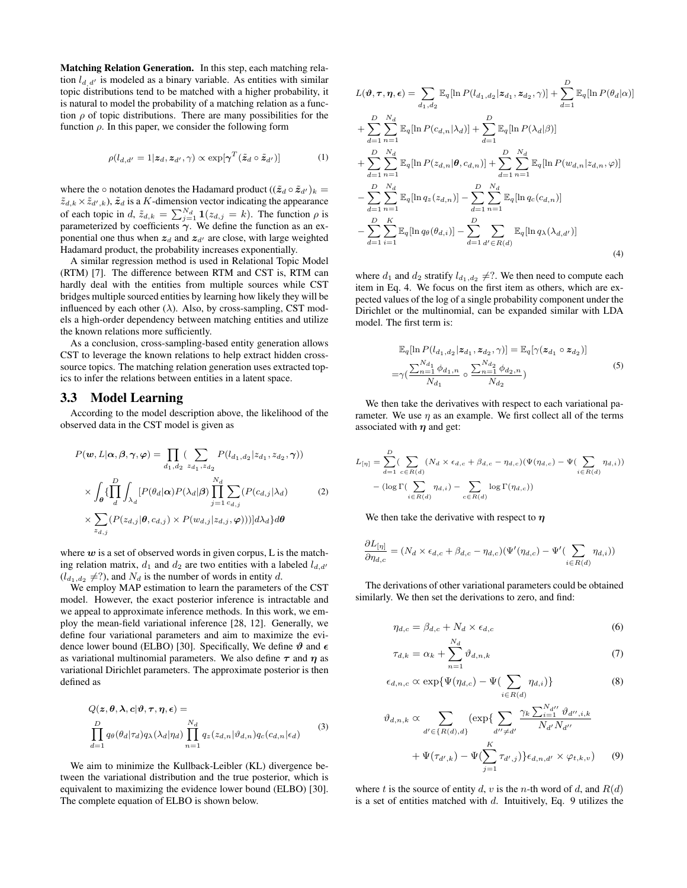Matching Relation Generation. In this step, each matching relation  $l_{d/d'}$  is modeled as a binary variable. As entities with similar topic distributions tend to be matched with a higher probability, it is natural to model the probability of a matching relation as a function  $\rho$  of topic distributions. There are many possibilities for the function  $\rho$ . In this paper, we consider the following form

$$
\rho(l_{d,d'} = 1 | \mathbf{z}_d, \mathbf{z}_{d'}, \gamma) \propto \exp[\boldsymbol{\gamma}^T (\tilde{\mathbf{z}}_d \circ \tilde{\mathbf{z}}_{d'})] \tag{1}
$$

where the  $\circ$  notation denotes the Hadamard product  $((\tilde{z}_d \circ \tilde{z}_{d'})_k =$  $\tilde{z}_{d,k} \times \tilde{z}_{d',k}$ ,  $\tilde{z}_d$  is a K-dimension vector indicating the appearance of each topic in d,  $\tilde{z}_{d,k} = \sum_{j=1}^{N_d} \mathbf{1}(z_{d,j} = k)$ . The function  $\rho$  is parameterized by coefficients  $\gamma$ . We define the function as an exponential one thus when  $z_d$  and  $z_{d'}$  are close, with large weighted Hadamard product, the probability increases exponentially.

A similar regression method is used in Relational Topic Model (RTM) [7]. The difference between RTM and CST is, RTM can hardly deal with the entities from multiple sources while CST bridges multiple sourced entities by learning how likely they will be influenced by each other  $(\lambda)$ . Also, by cross-sampling, CST models a high-order dependency between matching entities and utilize the known relations more sufficiently.

As a conclusion, cross-sampling-based entity generation allows CST to leverage the known relations to help extract hidden crosssource topics. The matching relation generation uses extracted topics to infer the relations between entities in a latent space.

#### 3.3 Model Learning

According to the model description above, the likelihood of the observed data in the CST model is given as

$$
P(\mathbf{w}, L | \alpha, \beta, \gamma, \varphi) = \prod_{d_1, d_2} \sum_{z_{d_1}, z_{d_2}} P(l_{d_1, d_2} | z_{d_1}, z_{d_2}, \gamma))
$$
  
 
$$
\times \int_{\theta} \{\prod_{d}^{D} \int_{\lambda_d} [P(\theta_d | \alpha) P(\lambda_d | \beta) \prod_{j=1}^{N_d} \sum_{c_{d,j}} (P(c_{d,j} | \lambda_d) \times \sum_{z_{d,j}} (P(z_{d,j} | \theta, c_{d,j}) \times P(w_{d,j} | z_{d,j}, \varphi)))] d\lambda_d\} d\theta
$$
 (2)

where  $w$  is a set of observed words in given corpus, L is the matching relation matrix,  $d_1$  and  $d_2$  are two entities with a labeled  $l_{d,d}$  $(l_{d_1,d_2} \neq ?)$ , and  $N_d$  is the number of words in entity d.

We employ MAP estimation to learn the parameters of the CST model. However, the exact posterior inference is intractable and we appeal to approximate inference methods. In this work, we employ the mean-field variational inference [28, 12]. Generally, we define four variational parameters and aim to maximize the evidence lower bound (ELBO) [30]. Specifically, We define  $\vartheta$  and  $\epsilon$ as variational multinomial parameters. We also define  $\tau$  and  $\eta$  as variational Dirichlet parameters. The approximate posterior is then defined as

$$
Q(z, \theta, \lambda, c | \vartheta, \tau, \eta, \epsilon) =
$$
  

$$
\prod_{d=1}^{D} q_{\theta}(\theta_d | \tau_d) q_{\lambda}(\lambda_d | \eta_d) \prod_{n=1}^{N_d} q_z(z_{d,n} | \vartheta_{d,n}) q_c(c_{d,n} | \epsilon_d)
$$
 (3)

We aim to minimize the Kullback-Leibler (KL) divergence between the variational distribution and the true posterior, which is equivalent to maximizing the evidence lower bound (ELBO) [30]. The complete equation of ELBO is shown below.

$$
L(\theta, \tau, \eta, \epsilon) = \sum_{d_1, d_2} \mathbb{E}_q [\ln P(l_{d_1, d_2} | z_{d_1}, z_{d_2}, \gamma)] + \sum_{d=1}^D \mathbb{E}_q [\ln P(\theta_d | \alpha)]
$$
  
+ 
$$
\sum_{d=1}^D \sum_{n=1}^{N_d} \mathbb{E}_q [\ln P(c_{d,n} | \lambda_d)] + \sum_{d=1}^D \mathbb{E}_q [\ln P(\lambda_d | \beta)]
$$
  
+ 
$$
\sum_{d=1}^D \sum_{n=1}^{N_d} \mathbb{E}_q [\ln P(z_{d,n} | \theta, c_{d,n})] + \sum_{d=1}^D \sum_{n=1}^{N_d} \mathbb{E}_q [\ln P(w_{d,n} | z_{d,n}, \varphi)]
$$
  
- 
$$
\sum_{d=1}^D \sum_{n=1}^{N_d} \mathbb{E}_q [\ln q_z(z_{d,n})] - \sum_{d=1}^D \sum_{n=1}^{N_d} \mathbb{E}_q [\ln q_c(c_{d,n})]
$$
  
- 
$$
\sum_{d=1}^D \sum_{i=1}^K \mathbb{E}_q [\ln q_\theta(\theta_{d,i})] - \sum_{d=1}^D \sum_{d' \in R(d)} \mathbb{E}_q [\ln q_\lambda(\lambda_{d,d'})]
$$
(4)

where  $d_1$  and  $d_2$  stratify  $l_{d_1,d_2} \neq ?$ . We then need to compute each item in Eq. 4. We focus on the first item as others, which are expected values of the log of a single probability component under the Dirichlet or the multinomial, can be expanded similar with LDA model. The first term is:

$$
\mathbb{E}_{q}[\ln P(l_{d_1,d_2}|\mathbf{z}_{d_1}, \mathbf{z}_{d_2}, \gamma)] = \mathbb{E}_{q}[\gamma(\mathbf{z}_{d_1} \circ \mathbf{z}_{d_2})]
$$
  

$$
= \gamma \left( \frac{\sum_{n=1}^{N_{d_1}} \phi_{d_1, n}}{N_{d_1}} \circ \frac{\sum_{n=1}^{N_{d_2}} \phi_{d_2, n}}{N_{d_2}} \right)
$$
 (5)

We then take the derivatives with respect to each variational parameter. We use  $\eta$  as an example. We first collect all of the terms associated with  $\eta$  and get:

$$
L_{[\eta]} = \sum_{d=1}^{D} \left( \sum_{c \in R(d)} (N_d \times \epsilon_{d,c} + \beta_{d,c} - \eta_{d,c}) (\Psi(\eta_{d,c}) - \Psi(\sum_{i \in R(d)} \eta_{d,i}) \right)
$$

$$
- (\log \Gamma(\sum_{i \in R(d)} \eta_{d,i}) - \sum_{c \in R(d)} \log \Gamma(\eta_{d,c}))
$$

We then take the derivative with respect to  $\eta$ 

 $\vartheta$ 

$$
\frac{\partial L_{[\eta]}}{\partial \eta_{d,c}} = (N_d \times \epsilon_{d,c} + \beta_{d,c} - \eta_{d,c})(\Psi'(\eta_{d,c}) - \Psi'(\sum_{i \in R(d)} \eta_{d,i}))
$$

The derivations of other variational parameters could be obtained similarly. We then set the derivations to zero, and find:

$$
\eta_{d,c} = \beta_{d,c} + N_d \times \epsilon_{d,c} \tag{6}
$$

$$
\tau_{d,k} = \alpha_k + \sum_{n=1}^{N_d} \vartheta_{d,n,k} \tag{7}
$$

$$
\epsilon_{d,n,c} \propto \exp\{\Psi(\eta_{d,c}) - \Psi(\sum_{i \in R(d)} \eta_{d,i})\} \tag{8}
$$

$$
d_{d,n,k} \propto \sum_{d' \in \{R(d),d\}} (\exp\{\sum_{d'' \neq d'} \frac{\gamma_k \sum_{i=1}^{N_{d''}} \vartheta_{d'',i,k}}{N_{d'} N_{d''}} + \Psi(\tau_{d',k}) - \Psi(\sum_{j=1}^K \tau_{d',j})\} \epsilon_{d,n,d'} \times \varphi_{t,k,v}) \tag{9}
$$

where t is the source of entity d, v is the n-th word of d, and  $R(d)$ is a set of entities matched with  $d$ . Intuitively, Eq. 9 utilizes the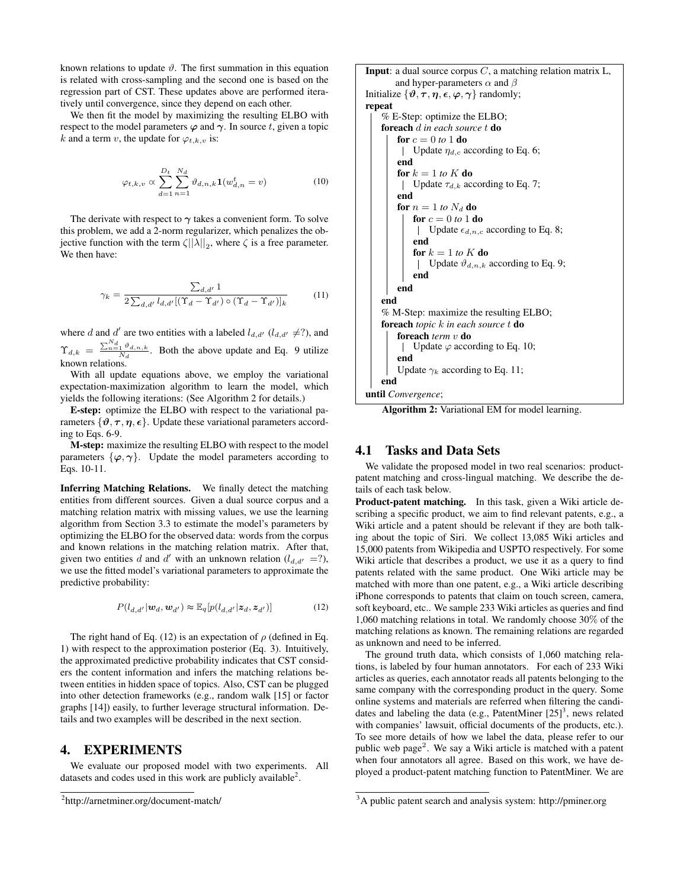known relations to update  $\vartheta$ . The first summation in this equation is related with cross-sampling and the second one is based on the regression part of CST. These updates above are performed iteratively until convergence, since they depend on each other.

We then fit the model by maximizing the resulting ELBO with respect to the model parameters  $\varphi$  and  $\gamma$ . In source t, given a topic k and a term v, the update for  $\varphi_{t,k,v}$  is:

$$
\varphi_{t,k,v} \propto \sum_{d=1}^{D_t} \sum_{n=1}^{N_d} \vartheta_{d,n,k} \mathbf{1}(w_{d,n}^t = v)
$$
\n(10)

The derivate with respect to  $\gamma$  takes a convenient form. To solve this problem, we add a 2-norm regularizer, which penalizes the objective function with the term  $\zeta ||\lambda||_2$ , where  $\zeta$  is a free parameter. We then have:

$$
\gamma_k = \frac{\sum_{d,d'} 1}{2 \sum_{d,d'} l_{d,d'} [(\Upsilon_d - \Upsilon_{d'}) \circ (\Upsilon_d - \Upsilon_{d'})]_k}
$$
(11)

where d and d' are two entities with a labeled  $l_{d,d'}$  ( $l_{d,d'} \neq ?$ ), and  $\Upsilon_{d,k} = \frac{\sum_{n=1}^{N_d} \vartheta_{d,n,k}}{N_d}$ . Both the above update and Eq. 9 utilize known relations.

With all update equations above, we employ the variational expectation-maximization algorithm to learn the model, which yields the following iterations: (See Algorithm 2 for details.)

E-step: optimize the ELBO with respect to the variational parameters  $\{\vartheta, \tau, \eta, \epsilon\}$ . Update these variational parameters according to Eqs. 6-9.

M-step: maximize the resulting ELBO with respect to the model parameters  $\{\varphi, \gamma\}$ . Update the model parameters according to Eqs. 10-11.

Inferring Matching Relations. We finally detect the matching entities from different sources. Given a dual source corpus and a matching relation matrix with missing values, we use the learning algorithm from Section 3.3 to estimate the model's parameters by optimizing the ELBO for the observed data: words from the corpus and known relations in the matching relation matrix. After that, given two entities d and d' with an unknown relation  $(l_{d,d'} = ?)$ , we use the fitted model's variational parameters to approximate the predictive probability:

$$
P(l_{d,d'}|\boldsymbol{w}_d,\boldsymbol{w}_{d'}) \approx \mathbb{E}_q[p(l_{d,d'}|\boldsymbol{z}_d,\boldsymbol{z}_{d'})]
$$
(12)

The right hand of Eq. (12) is an expectation of  $\rho$  (defined in Eq. 1) with respect to the approximation posterior (Eq. 3). Intuitively, the approximated predictive probability indicates that CST considers the content information and infers the matching relations between entities in hidden space of topics. Also, CST can be plugged into other detection frameworks (e.g., random walk [15] or factor graphs [14]) easily, to further leverage structural information. Details and two examples will be described in the next section.

## 4. EXPERIMENTS

We evaluate our proposed model with two experiments. All datasets and codes used in this work are publicly available<sup>2</sup>.

**Input**: a dual source corpus  $C$ , a matching relation matrix  $L$ , and hyper-parameters  $\alpha$  and  $\beta$ Initialize  $\{\vartheta, \tau, \eta, \epsilon, \varphi, \gamma\}$  randomly; repeat % E-Step: optimize the ELBO; foreach d *in each source* t do for  $c = 0$  *to* 1 do | Update  $\eta_{d,c}$  according to Eq. 6; end for  $k = 1$  to  $K$  do | Update  $\tau_{d,k}$  according to Eq. 7; end for  $n = 1$  *to*  $N_d$  do for  $c = 0$  *to* 1 do | Update  $\epsilon_{d,n,c}$  according to Eq. 8; end for  $k = 1$  *to*  $K$  do | Update  $\vartheta_{d,n,k}$  according to Eq. 9; end end end % M-Step: maximize the resulting ELBO; foreach *topic* k *in each source* t do foreach *term* v do | Update  $\varphi$  according to Eq. 10; end Update  $\gamma_k$  according to Eq. 11; end until *Convergence*;

Algorithm 2: Variational EM for model learning.

#### 4.1 Tasks and Data Sets

We validate the proposed model in two real scenarios: productpatent matching and cross-lingual matching. We describe the details of each task below.

Product-patent matching. In this task, given a Wiki article describing a specific product, we aim to find relevant patents, e.g., a Wiki article and a patent should be relevant if they are both talking about the topic of Siri. We collect 13,085 Wiki articles and 15,000 patents from Wikipedia and USPTO respectively. For some Wiki article that describes a product, we use it as a query to find patents related with the same product. One Wiki article may be matched with more than one patent, e.g., a Wiki article describing iPhone corresponds to patents that claim on touch screen, camera, soft keyboard, etc.. We sample 233 Wiki articles as queries and find 1,060 matching relations in total. We randomly choose 30% of the matching relations as known. The remaining relations are regarded as unknown and need to be inferred.

The ground truth data, which consists of 1,060 matching relations, is labeled by four human annotators. For each of 233 Wiki articles as queries, each annotator reads all patents belonging to the same company with the corresponding product in the query. Some online systems and materials are referred when filtering the candidates and labeling the data (e.g., PatentMiner  $[25]$ <sup>3</sup>, news related with companies' lawsuit, official documents of the products, etc.). To see more details of how we label the data, please refer to our public web page<sup>2</sup>. We say a Wiki article is matched with a patent when four annotators all agree. Based on this work, we have deployed a product-patent matching function to PatentMiner. We are

<sup>2</sup> http://arnetminer.org/document-match/

<sup>3</sup>A public patent search and analysis system: http://pminer.org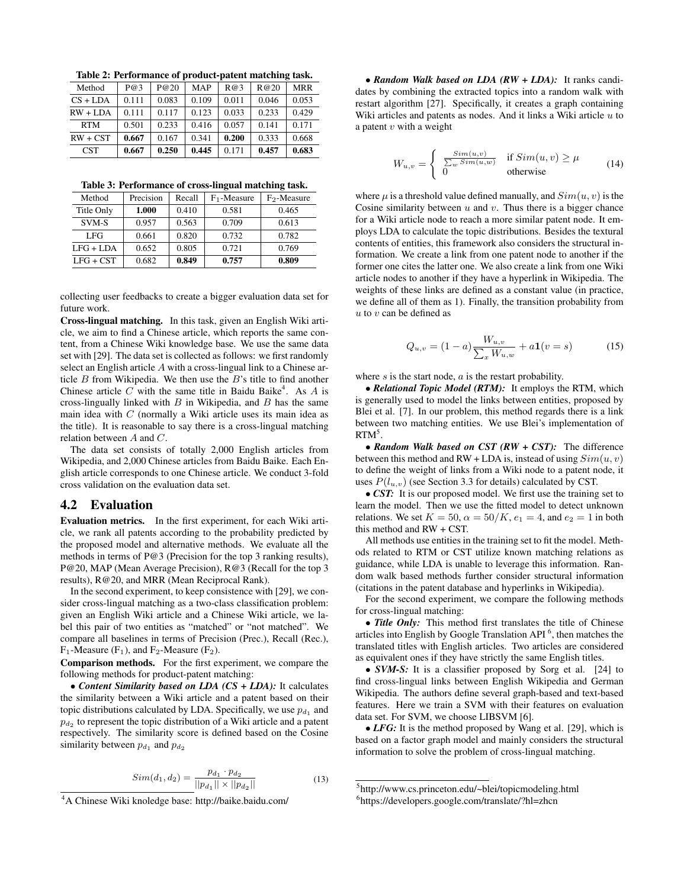Table 2: Performance of product-patent matching task.

| Method     | P@3   | P@20  | <b>MAP</b> | R@3   | R@20  | <b>MRR</b> |
|------------|-------|-------|------------|-------|-------|------------|
| $CS + LDA$ | 0.111 | 0.083 | 0.109      | 0.011 | 0.046 | 0.053      |
| $RW + LDA$ | 0.111 | 0.117 | 0.123      | 0.033 | 0.233 | 0.429      |
| <b>RTM</b> | 0.501 | 0.233 | 0.416      | 0.057 | 0.141 | 0.171      |
| $RW + CST$ | 0.667 | 0.167 | 0.341      | 0.200 | 0.333 | 0.668      |
| <b>CST</b> | 0.667 | 0.250 | 0.445      | 0.171 | 0.457 | 0.683      |

Table 3: Performance of cross-lingual matching task.

| Method      | Precision | Recall | $F_1$ -Measure | $F_2$ -Measure |
|-------------|-----------|--------|----------------|----------------|
| Title Only  | 1.000     | 0.410  | 0.581          | 0.465          |
| SVM-S       | 0.957     | 0.563  | 0.709          | 0.613          |
| LFG.        | 0.661     | 0.820  | 0.732          | 0.782          |
| $LFG + LDA$ | 0.652     | 0.805  | 0.721          | 0.769          |
| $LFG + CST$ | 0.682     | 0.849  | 0.757          | 0.809          |

collecting user feedbacks to create a bigger evaluation data set for future work.

Cross-lingual matching. In this task, given an English Wiki article, we aim to find a Chinese article, which reports the same content, from a Chinese Wiki knowledge base. We use the same data set with [29]. The data set is collected as follows: we first randomly select an English article A with a cross-lingual link to a Chinese article  $B$  from Wikipedia. We then use the  $B$ 's title to find another Chinese article  $C$  with the same title in Baidu Baike<sup>4</sup>. As  $A$  is cross-lingually linked with  $B$  in Wikipedia, and  $B$  has the same main idea with C (normally a Wiki article uses its main idea as the title). It is reasonable to say there is a cross-lingual matching relation between A and C.

The data set consists of totally 2,000 English articles from Wikipedia, and 2,000 Chinese articles from Baidu Baike. Each English article corresponds to one Chinese article. We conduct 3-fold cross validation on the evaluation data set.

#### 4.2 Evaluation

Evaluation metrics. In the first experiment, for each Wiki article, we rank all patents according to the probability predicted by the proposed model and alternative methods. We evaluate all the methods in terms of P@3 (Precision for the top 3 ranking results), P@20, MAP (Mean Average Precision), R@3 (Recall for the top 3 results), R@20, and MRR (Mean Reciprocal Rank).

In the second experiment, to keep consistence with [29], we consider cross-lingual matching as a two-class classification problem: given an English Wiki article and a Chinese Wiki article, we label this pair of two entities as "matched" or "not matched". We compare all baselines in terms of Precision (Prec.), Recall (Rec.),  $F_1$ -Measure (F<sub>1</sub>), and F<sub>2</sub>-Measure (F<sub>2</sub>).

Comparison methods. For the first experiment, we compare the following methods for product-patent matching:

• *Content Similarity based on LDA (CS + LDA):* It calculates the similarity between a Wiki article and a patent based on their topic distributions calculated by LDA. Specifically, we use  $p_{d_1}$  and  $p_{d_2}$  to represent the topic distribution of a Wiki article and a patent respectively. The similarity score is defined based on the Cosine similarity between  $p_{d_1}$  and  $p_{d_2}$ 

$$
Sim(d_1, d_2) = \frac{p_{d_1} \cdot p_{d_2}}{||p_{d_1}|| \times ||p_{d_2}||}
$$
\n(13)

• *Random Walk based on LDA (RW + LDA):* It ranks candidates by combining the extracted topics into a random walk with restart algorithm [27]. Specifically, it creates a graph containing Wiki articles and patents as nodes. And it links a Wiki article  $u$  to a patent  $v$  with a weight

$$
W_{u,v} = \begin{cases} \frac{Sim(u,v)}{\sum_{w} Sim(u,w)} & \text{if } Sim(u,v) \ge \mu\\ 0 & \text{otherwise} \end{cases}
$$
 (14)

where  $\mu$  is a threshold value defined manually, and  $Sim(u, v)$  is the Cosine similarity between  $u$  and  $v$ . Thus there is a bigger chance for a Wiki article node to reach a more similar patent node. It employs LDA to calculate the topic distributions. Besides the textural contents of entities, this framework also considers the structural information. We create a link from one patent node to another if the former one cites the latter one. We also create a link from one Wiki article nodes to another if they have a hyperlink in Wikipedia. The weights of these links are defined as a constant value (in practice, we define all of them as 1). Finally, the transition probability from  $u$  to  $v$  can be defined as

$$
Q_{u,v} = (1 - a) \frac{W_{u,v}}{\sum_{x} W_{u,w}} + a \mathbf{1}(v = s)
$$
 (15)

where  $s$  is the start node,  $a$  is the restart probability.

• *Relational Topic Model (RTM):* It employs the RTM, which is generally used to model the links between entities, proposed by Blei et al. [7]. In our problem, this method regards there is a link between two matching entities. We use Blei's implementation of  $RTM^5$ .

• *Random Walk based on CST (RW + CST):* The difference between this method and RW + LDA is, instead of using  $Sim(u, v)$ to define the weight of links from a Wiki node to a patent node, it uses  $P(l_{u,v})$  (see Section 3.3 for details) calculated by CST.

• CST: It is our proposed model. We first use the training set to learn the model. Then we use the fitted model to detect unknown relations. We set  $K = 50$ ,  $\alpha = 50/K$ ,  $e_1 = 4$ , and  $e_2 = 1$  in both this method and RW + CST.

All methods use entities in the training set to fit the model. Methods related to RTM or CST utilize known matching relations as guidance, while LDA is unable to leverage this information. Random walk based methods further consider structural information (citations in the patent database and hyperlinks in Wikipedia).

For the second experiment, we compare the following methods for cross-lingual matching:

• *Title Only:* This method first translates the title of Chinese articles into English by Google Translation API<sup>6</sup>, then matches the translated titles with English articles. Two articles are considered as equivalent ones if they have strictly the same English titles.

• *SVM-S:* It is a classifier proposed by Sorg et al. [24] to find cross-lingual links between English Wikipedia and German Wikipedia. The authors define several graph-based and text-based features. Here we train a SVM with their features on evaluation data set. For SVM, we choose LIBSVM [6].

• *LFG:* It is the method proposed by Wang et al. [29], which is based on a factor graph model and mainly considers the structural information to solve the problem of cross-lingual matching.

<sup>4</sup>A Chinese Wiki knoledge base: http://baike.baidu.com/

<sup>5</sup> http://www.cs.princeton.edu/~blei/topicmodeling.html 6 https://developers.google.com/translate/?hl=zhcn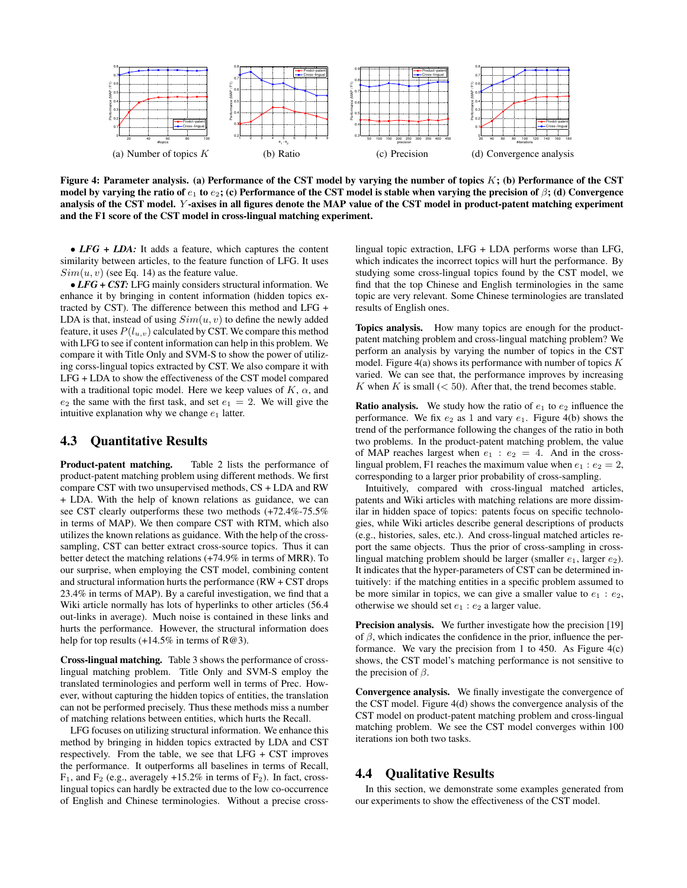

Figure 4: Parameter analysis. (a) Performance of the CST model by varying the number of topics  $K$ ; (b) Performance of the CST model by varying the ratio of  $e_1$  to  $e_2$ ; (c) Performance of the CST model is stable when varying the precision of  $\beta$ ; (d) Convergence analysis of the CST model. Y -axises in all figures denote the MAP value of the CST model in product-patent matching experiment and the F1 score of the CST model in cross-lingual matching experiment.

• *LFG* + *LDA*: It adds a feature, which captures the content similarity between articles, to the feature function of LFG. It uses  $Sim(u, v)$  (see Eq. 14) as the feature value.

• *LFG + CST:* LFG mainly considers structural information. We enhance it by bringing in content information (hidden topics extracted by CST). The difference between this method and LFG + LDA is that, instead of using  $Sim(u, v)$  to define the newly added feature, it uses  $P(l_{u,v})$  calculated by CST. We compare this method with LFG to see if content information can help in this problem. We compare it with Title Only and SVM-S to show the power of utilizing corss-lingual topics extracted by CST. We also compare it with LFG + LDA to show the effectiveness of the CST model compared with a traditional topic model. Here we keep values of  $K$ ,  $\alpha$ , and  $e_2$  the same with the first task, and set  $e_1 = 2$ . We will give the intuitive explanation why we change  $e_1$  latter.

## 4.3 Quantitative Results

Product-patent matching. Table 2 lists the performance of product-patent matching problem using different methods. We first compare CST with two unsupervised methods, CS + LDA and RW + LDA. With the help of known relations as guidance, we can see CST clearly outperforms these two methods (+72.4%-75.5% in terms of MAP). We then compare CST with RTM, which also utilizes the known relations as guidance. With the help of the crosssampling, CST can better extract cross-source topics. Thus it can better detect the matching relations (+74.9% in terms of MRR). To our surprise, when employing the CST model, combining content and structural information hurts the performance (RW + CST drops 23.4% in terms of MAP). By a careful investigation, we find that a Wiki article normally has lots of hyperlinks to other articles (56.4 out-links in average). Much noise is contained in these links and hurts the performance. However, the structural information does help for top results  $(+14.5\%$  in terms of R@3).

Cross-lingual matching. Table 3 shows the performance of crosslingual matching problem. Title Only and SVM-S employ the translated terminologies and perform well in terms of Prec. However, without capturing the hidden topics of entities, the translation can not be performed precisely. Thus these methods miss a number of matching relations between entities, which hurts the Recall.

LFG focuses on utilizing structural information. We enhance this method by bringing in hidden topics extracted by LDA and CST respectively. From the table, we see that  $LFG + CST$  improves the performance. It outperforms all baselines in terms of Recall,  $F_1$ , and  $F_2$  (e.g., averagely +15.2% in terms of  $F_2$ ). In fact, crosslingual topics can hardly be extracted due to the low co-occurrence of English and Chinese terminologies. Without a precise crosslingual topic extraction, LFG + LDA performs worse than LFG, which indicates the incorrect topics will hurt the performance. By studying some cross-lingual topics found by the CST model, we find that the top Chinese and English terminologies in the same topic are very relevant. Some Chinese terminologies are translated results of English ones.

Topics analysis. How many topics are enough for the productpatent matching problem and cross-lingual matching problem? We perform an analysis by varying the number of topics in the CST model. Figure  $4(a)$  shows its performance with number of topics  $K$ varied. We can see that, the performance improves by increasing K when K is small  $(< 50)$ . After that, the trend becomes stable.

**Ratio analysis.** We study how the ratio of  $e_1$  to  $e_2$  influence the performance. We fix  $e_2$  as 1 and vary  $e_1$ . Figure 4(b) shows the trend of the performance following the changes of the ratio in both two problems. In the product-patent matching problem, the value of MAP reaches largest when  $e_1 : e_2 = 4$ . And in the crosslingual problem, F1 reaches the maximum value when  $e_1 : e_2 = 2$ , corresponding to a larger prior probability of cross-sampling.

Intuitively, compared with cross-lingual matched articles, patents and Wiki articles with matching relations are more dissimilar in hidden space of topics: patents focus on specific technologies, while Wiki articles describe general descriptions of products (e.g., histories, sales, etc.). And cross-lingual matched articles report the same objects. Thus the prior of cross-sampling in crosslingual matching problem should be larger (smaller  $e_1$ , larger  $e_2$ ). It indicates that the hyper-parameters of CST can be determined intuitively: if the matching entities in a specific problem assumed to be more similar in topics, we can give a smaller value to  $e_1 : e_2$ , otherwise we should set  $e_1 : e_2$  a larger value.

Precision analysis. We further investigate how the precision [19] of  $\beta$ , which indicates the confidence in the prior, influence the performance. We vary the precision from 1 to 450. As Figure  $4(c)$ shows, the CST model's matching performance is not sensitive to the precision of  $\beta$ .

Convergence analysis. We finally investigate the convergence of the CST model. Figure 4(d) shows the convergence analysis of the CST model on product-patent matching problem and cross-lingual matching problem. We see the CST model converges within 100 iterations ion both two tasks.

#### 4.4 Qualitative Results

In this section, we demonstrate some examples generated from our experiments to show the effectiveness of the CST model.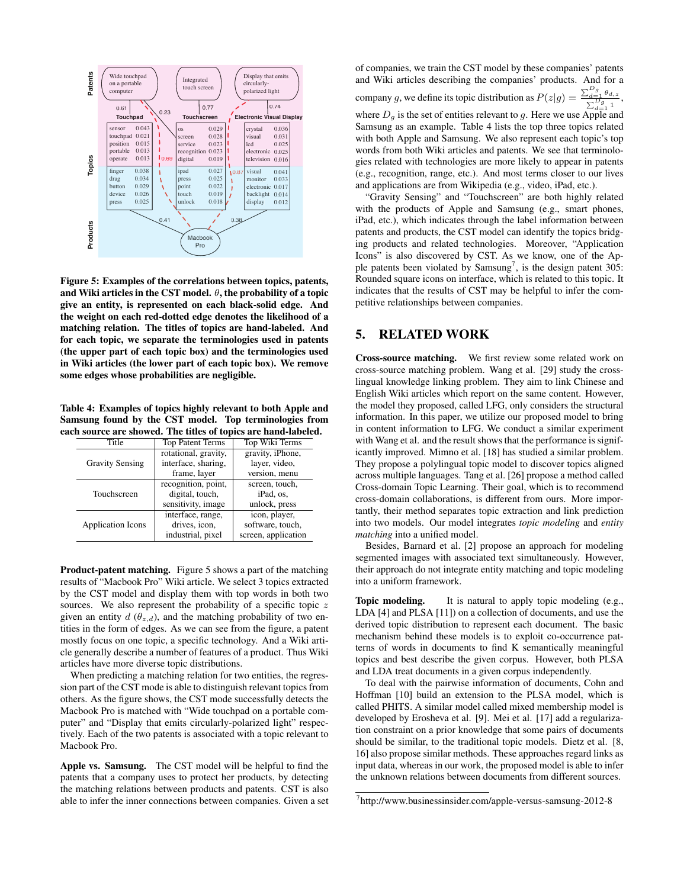

Figure 5: Examples of the correlations between topics, patents, and Wiki articles in the CST model.  $\theta$ , the probability of a topic give an entity, is represented on each black-solid edge. And the weight on each red-dotted edge denotes the likelihood of a matching relation. The titles of topics are hand-labeled. And for each topic, we separate the terminologies used in patents (the upper part of each topic box) and the terminologies used in Wiki articles (the lower part of each topic box). We remove some edges whose probabilities are negligible.

Table 4: Examples of topics highly relevant to both Apple and Samsung found by the CST model. Top terminologies from each source are showed. The titles of topics are hand-labeled.

| Title                    | <b>Top Patent Terms</b> | Top Wiki Terms      |  |
|--------------------------|-------------------------|---------------------|--|
|                          | rotational, gravity,    | gravity, iPhone,    |  |
| <b>Gravity Sensing</b>   | interface, sharing,     | layer, video,       |  |
|                          | frame, layer            | version, menu       |  |
|                          | recognition, point,     | screen, touch,      |  |
| Touchscreen              | digital, touch,         | iPad. os.           |  |
|                          | sensitivity, image      | unlock, press       |  |
|                          | interface, range,       | icon, player,       |  |
| <b>Application Icons</b> | drives, icon,           | software, touch,    |  |
|                          | industrial, pixel       | screen, application |  |

**Product-patent matching.** Figure 5 shows a part of the matching results of "Macbook Pro" Wiki article. We select 3 topics extracted by the CST model and display them with top words in both two sources. We also represent the probability of a specific topic  $z$ given an entity  $d(\theta_{z,d})$ , and the matching probability of two entities in the form of edges. As we can see from the figure, a patent mostly focus on one topic, a specific technology. And a Wiki article generally describe a number of features of a product. Thus Wiki articles have more diverse topic distributions.

When predicting a matching relation for two entities, the regression part of the CST mode is able to distinguish relevant topics from others. As the figure shows, the CST mode successfully detects the Macbook Pro is matched with "Wide touchpad on a portable computer" and "Display that emits circularly-polarized light" respectively. Each of the two patents is associated with a topic relevant to Macbook Pro.

Apple vs. Samsung. The CST model will be helpful to find the patents that a company uses to protect her products, by detecting the matching relations between products and patents. CST is also able to infer the inner connections between companies. Given a set

of companies, we train the CST model by these companies' patents and Wiki articles describing the companies' products. And for a

company g, we define its topic distribution as  $P(z|g) = \frac{\sum_{d=1}^{D_g} \theta_{d,z}}{\sum_{d=1}^{D_g} 1}$ , where  $D_g$  is the set of entities relevant to g. Here we use Apple and Samsung as an example. Table 4 lists the top three topics related with both Apple and Samsung. We also represent each topic's top words from both Wiki articles and patents. We see that terminologies related with technologies are more likely to appear in patents (e.g., recognition, range, etc.). And most terms closer to our lives and applications are from Wikipedia (e.g., video, iPad, etc.).

"Gravity Sensing" and "Touchscreen" are both highly related with the products of Apple and Samsung (e.g., smart phones, iPad, etc.), which indicates through the label information between patents and products, the CST model can identify the topics bridging products and related technologies. Moreover, "Application Icons" is also discovered by CST. As we know, one of the Apple patents been violated by Samsung<sup>7</sup>, is the design patent 305: Rounded square icons on interface, which is related to this topic. It indicates that the results of CST may be helpful to infer the competitive relationships between companies.

## 5. RELATED WORK

Cross-source matching. We first review some related work on cross-source matching problem. Wang et al. [29] study the crosslingual knowledge linking problem. They aim to link Chinese and English Wiki articles which report on the same content. However, the model they proposed, called LFG, only considers the structural information. In this paper, we utilize our proposed model to bring in content information to LFG. We conduct a similar experiment with Wang et al. and the result shows that the performance is significantly improved. Mimno et al. [18] has studied a similar problem. They propose a polylingual topic model to discover topics aligned across multiple languages. Tang et al. [26] propose a method called Cross-domain Topic Learning. Their goal, which is to recommend cross-domain collaborations, is different from ours. More importantly, their method separates topic extraction and link prediction into two models. Our model integrates *topic modeling* and *entity matching* into a unified model.

Besides, Barnard et al. [2] propose an approach for modeling segmented images with associated text simultaneously. However, their approach do not integrate entity matching and topic modeling into a uniform framework.

Topic modeling. It is natural to apply topic modeling (e.g., LDA [4] and PLSA [11]) on a collection of documents, and use the derived topic distribution to represent each document. The basic mechanism behind these models is to exploit co-occurrence patterns of words in documents to find K semantically meaningful topics and best describe the given corpus. However, both PLSA and LDA treat documents in a given corpus independently.

To deal with the pairwise information of documents, Cohn and Hoffman [10] build an extension to the PLSA model, which is called PHITS. A similar model called mixed membership model is developed by Erosheva et al. [9]. Mei et al. [17] add a regularization constraint on a prior knowledge that some pairs of documents should be similar, to the traditional topic models. Dietz et al. [8, 16] also propose similar methods. These approaches regard links as input data, whereas in our work, the proposed model is able to infer the unknown relations between documents from different sources.

<sup>7</sup> http://www.businessinsider.com/apple-versus-samsung-2012-8